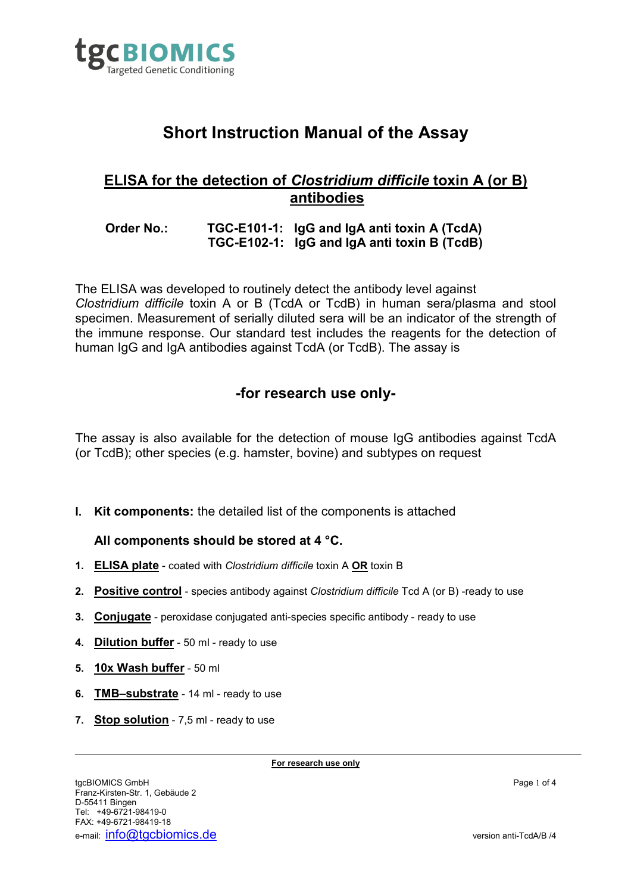

# **Short Instruction Manual of the Assay**

# **ELISA for the detection of** *Clostridium difficile* **toxin A (or B) antibodies**

## **Order No.: TGC-E101-1: IgG and IgA anti toxin A (TcdA) TGC-E102-1: IgG and IgA anti toxin B (TcdB)**

The ELISA was developed to routinely detect the antibody level against *Clostridium difficile* toxin A or B (TcdA or TcdB) in human sera/plasma and stool specimen. Measurement of serially diluted sera will be an indicator of the strength of the immune response. Our standard test includes the reagents for the detection of human IgG and IgA antibodies against TcdA (or TcdB). The assay is

# **-for research use only-**

The assay is also available for the detection of mouse IgG antibodies against TcdA (or TcdB); other species (e.g. hamster, bovine) and subtypes on request

**I. Kit components:** the detailed list of the components is attached

#### **All components should be stored at 4 °C.**

- **1. ELISA plate** coated with *Clostridium difficile* toxin A **OR** toxin B
- **2. Positive control** species antibody against *Clostridium difficile* Tcd A (or B) -ready to use
- **3. Conjugate** peroxidase conjugated anti-species specific antibody ready to use
- **4. Dilution buffer** 50 ml ready to use
- **5. 10x Wash buffer** 50 ml
- **6. TMB–substrate** 14 ml ready to use
- **7. Stop solution** 7,5 ml ready to use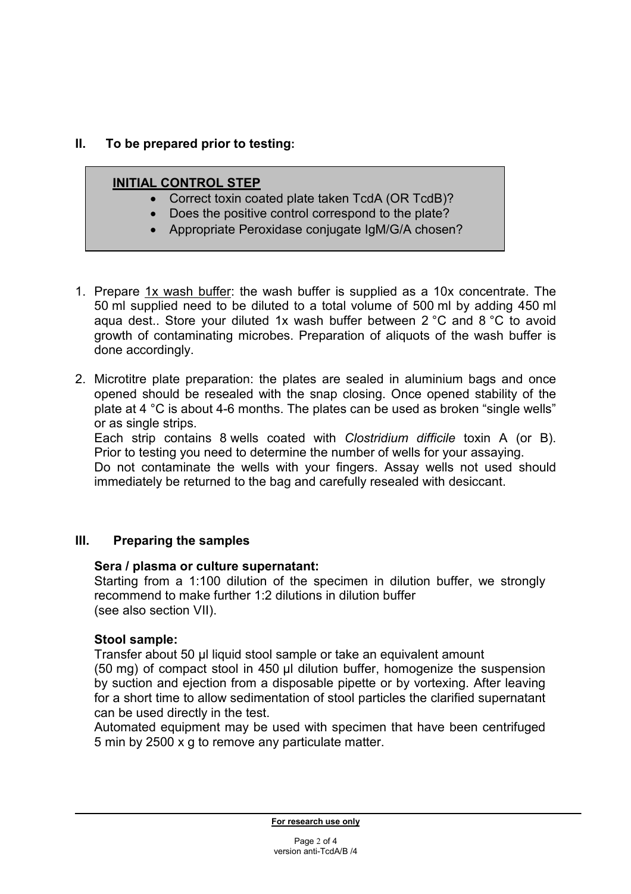# **II. To be prepared prior to testing:**

## **INITIAL CONTROL STEP**

- Correct toxin coated plate taken TcdA (OR TcdB)?
- Does the positive control correspond to the plate?
- Appropriate Peroxidase conjugate IgM/G/A chosen?
- 1. Prepare 1x wash buffer: the wash buffer is supplied as a 10x concentrate. The 50 ml supplied need to be diluted to a total volume of 500 ml by adding 450 ml aqua dest.. Store your diluted 1x wash buffer between 2 °C and 8 °C to avoid growth of contaminating microbes. Preparation of aliquots of the wash buffer is done accordingly.
- 2. Microtitre plate preparation: the plates are sealed in aluminium bags and once opened should be resealed with the snap closing. Once opened stability of the plate at 4 °C is about 4-6 months. The plates can be used as broken "single wells" or as single strips.

Each strip contains 8 wells coated with *Clostridium difficile* toxin A (or B). Prior to testing you need to determine the number of wells for your assaying.

Do not contaminate the wells with your fingers. Assay wells not used should immediately be returned to the bag and carefully resealed with desiccant.

#### **III. Preparing the samples**

#### **Sera / plasma or culture supernatant:**

Starting from a 1:100 dilution of the specimen in dilution buffer, we strongly recommend to make further 1:2 dilutions in dilution buffer (see also section VII).

#### **Stool sample:**

Transfer about 50 µl liquid stool sample or take an equivalent amount (50 mg) of compact stool in 450 µl dilution buffer, homogenize the suspension by suction and ejection from a disposable pipette or by vortexing. After leaving for a short time to allow sedimentation of stool particles the clarified supernatant can be used directly in the test.

Automated equipment may be used with specimen that have been centrifuged 5 min by 2500 x g to remove any particulate matter.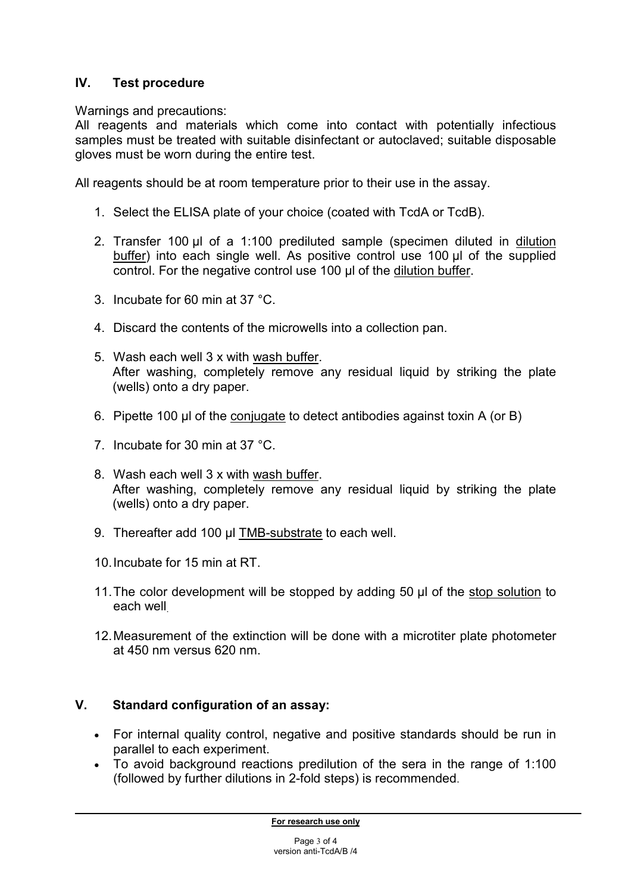# **IV. Test procedure**

Warnings and precautions:

All reagents and materials which come into contact with potentially infectious samples must be treated with suitable disinfectant or autoclaved; suitable disposable gloves must be worn during the entire test.

All reagents should be at room temperature prior to their use in the assay.

- 1. Select the ELISA plate of your choice (coated with TcdA or TcdB).
- 2. Transfer 100 µl of a 1:100 prediluted sample (specimen diluted in dilution buffer) into each single well. As positive control use 100 µl of the supplied control. For the negative control use 100 µl of the dilution buffer.
- 3. Incubate for 60 min at 37 °C.
- 4. Discard the contents of the microwells into a collection pan.
- 5. Wash each well 3 x with wash buffer. After washing, completely remove any residual liquid by striking the plate (wells) onto a dry paper.
- 6. Pipette 100 µl of the conjugate to detect antibodies against toxin A (or B)
- 7. Incubate for 30 min at 37 °C.
- 8. Wash each well 3 x with wash buffer. After washing, completely remove any residual liquid by striking the plate (wells) onto a dry paper.
- 9. Thereafter add 100 µl TMB-substrate to each well.
- 10. Incubate for 15 min at RT.
- 11. The color development will be stopped by adding 50 µl of the stop solution to each well.
- 12. Measurement of the extinction will be done with a microtiter plate photometer at 450 nm versus 620 nm.

# **V. Standard configuration of an assay:**

- For internal quality control, negative and positive standards should be run in parallel to each experiment.
- To avoid background reactions predilution of the sera in the range of 1:100 (followed by further dilutions in 2-fold steps) is recommended.